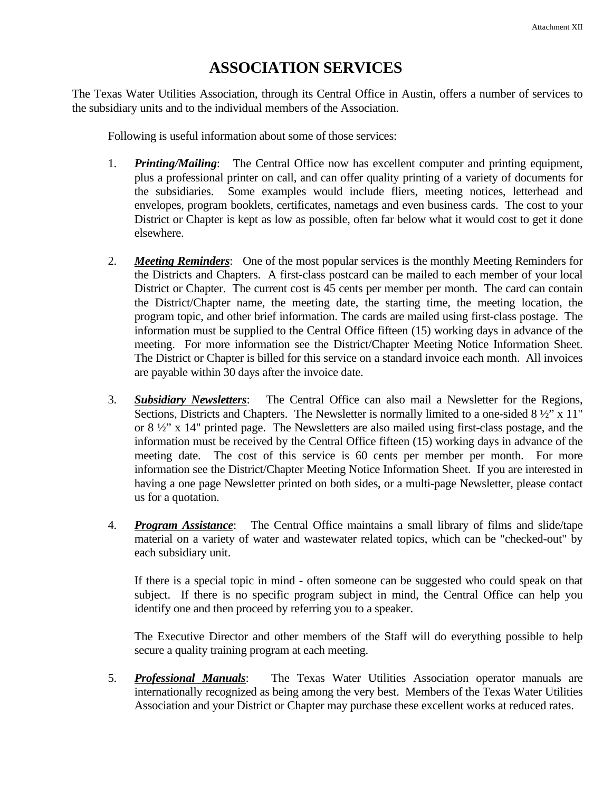## **ASSOCIATION SERVICES**

The Texas Water Utilities Association, through its Central Office in Austin, offers a number of services to the subsidiary units and to the individual members of the Association.

Following is useful information about some of those services:

- 1. *Printing/Mailing*: The Central Office now has excellent computer and printing equipment, plus a professional printer on call, and can offer quality printing of a variety of documents for the subsidiaries. Some examples would include fliers, meeting notices, letterhead and envelopes, program booklets, certificates, nametags and even business cards. The cost to your District or Chapter is kept as low as possible, often far below what it would cost to get it done elsewhere.
- 2. *Meeting Reminders*: One of the most popular services is the monthly Meeting Reminders for the Districts and Chapters. A first-class postcard can be mailed to each member of your local District or Chapter. The current cost is 45 cents per member per month. The card can contain the District/Chapter name, the meeting date, the starting time, the meeting location, the program topic, and other brief information. The cards are mailed using first-class postage. The information must be supplied to the Central Office fifteen (15) working days in advance of the meeting. For more information see the District/Chapter Meeting Notice Information Sheet. The District or Chapter is billed for this service on a standard invoice each month. All invoices are payable within 30 days after the invoice date.
- 3. *Subsidiary Newsletters*: The Central Office can also mail a Newsletter for the Regions, Sections, Districts and Chapters. The Newsletter is normally limited to a one-sided 8 ½" x 11" or 8 ½" x 14" printed page. The Newsletters are also mailed using first-class postage, and the information must be received by the Central Office fifteen (15) working days in advance of the meeting date. The cost of this service is 60 cents per member per month. For more information see the District/Chapter Meeting Notice Information Sheet. If you are interested in having a one page Newsletter printed on both sides, or a multi-page Newsletter, please contact us for a quotation.
- 4. *Program Assistance*: The Central Office maintains a small library of films and slide/tape material on a variety of water and wastewater related topics, which can be "checked-out" by each subsidiary unit.

If there is a special topic in mind - often someone can be suggested who could speak on that subject. If there is no specific program subject in mind, the Central Office can help you identify one and then proceed by referring you to a speaker.

The Executive Director and other members of the Staff will do everything possible to help secure a quality training program at each meeting.

5. *Professional Manuals*: The Texas Water Utilities Association operator manuals are internationally recognized as being among the very best. Members of the Texas Water Utilities Association and your District or Chapter may purchase these excellent works at reduced rates.